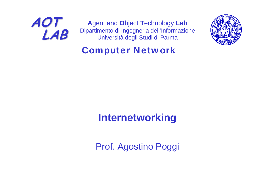

**A**gent and **O**bject **T**echnology **Lab** Dipartimento di Ingegneria dell'Informazione Università degli Studi di Parma



### Computer Network

### **Internetworking**

Prof. Agostino Poggi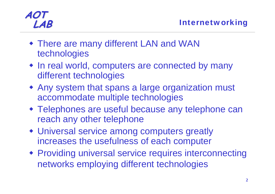- There are many different LAN and WAN technologies
- In real world, computers are connected by many different technologies
- Any system that spans a large organization must accommodate multiple technologies
- Telephones are useful because any telephone can reach any other telephone
- Universal service among computers greatly increases the usefulness of each computer
- Providing universal service requires interconnecting networks employing different technologies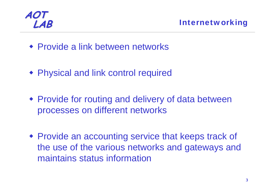

- Provide a link between networks
- Physical and link control required
- Provide for routing and delivery of data between processes on different networks
- Provide an accounting service that keeps track of the use of the various networks and gateways and maintains status information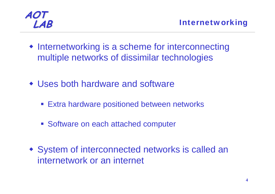

- Internetworking is a scheme for interconnecting multiple networks of dissimilar technologies
- Uses both hardware and software
	- **Extra hardware positioned between networks**
	- **Software on each attached computer**
- System of interconnected networks is called an internetwork or an internet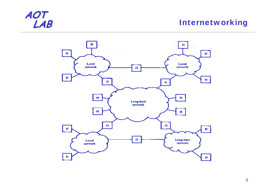#### **Internetworking**

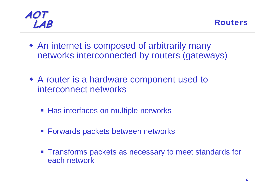

- An internet is composed of arbitrarily many networks interconnected by routers (gateways)
- A router is a hardware component used to interconnect networks
	- Has interfaces on multiple networks
	- **Forwards packets between networks**
	- **Transforms packets as necessary to meet standards for** each network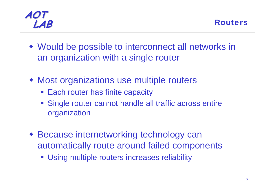

- Would be possible to interconnect all networks in an organization with a single router
- Most organizations use multiple routers
	- **Each router has finite capacity**
	- Single router cannot handle all traffic across entire organization
- Because internetworking technology can automatically route around failed components
	- **Using multiple routers increases reliability**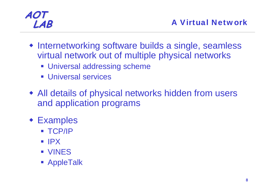- Internetworking software builds a single, seamless virtual network out of multiple physical networks
	- **Universal addressing scheme**
	- **Universal services**
- All details of physical networks hidden from users and application programs
- Examples
	- $\blacksquare$  TCP/IP
	- $\blacksquare$  IPX
	- VINES
	- **AppleTalk**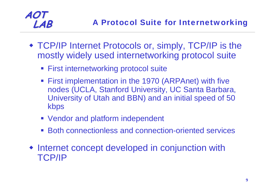- TCP/IP Internet Protocols or, simply, TCP/IP is the mostly widely used internetworking protocol suite
	- **First internetworking protocol suite**
	- **First implementation in the 1970 (ARPAnet) with five** nodes (UCLA, Stanford University, UC Santa Barbara, University of Utah and BBN) and an initial speed of 50 kbps
	- **Vendor and platform independent**
	- Both connectionless and connection-oriented services
- Internet concept developed in conjunction with TCP/IP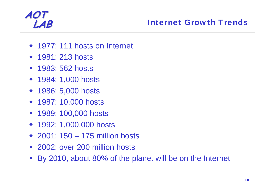#### **LAB** Internet Growth Trends

- 1977: 111 hosts on Internet
- ◆ 1981: 213 hosts
- 1983: 562 hosts
- ◆ 1984: 1,000 hosts
- ◆ 1986: 5,000 hosts
- 1987: 10,000 hosts
- ◆ 1989: 100,000 hosts
- ◆ 1992: 1,000,000 hosts
- 2001: 150 175 million hosts
- 2002: over 200 million hosts
- By 2010, about 80% of the planet will be on the Internet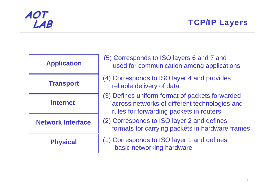| <b>Application</b>       |  |  |
|--------------------------|--|--|
| <b>Transport</b>         |  |  |
| <b>Internet</b>          |  |  |
| <b>Network Interface</b> |  |  |
| <b>Physical</b>          |  |  |

| (5) Corresponds to ISO layers 6 and 7 and<br>used for communication among applications                                                      |
|---------------------------------------------------------------------------------------------------------------------------------------------|
| (4) Corresponds to ISO layer 4 and provides<br>reliable delivery of data                                                                    |
| (3) Defines uniform format of packets forwarded<br>across networks of different technologies and<br>rules for forwarding packets in routers |
| (2) Corresponds to ISO layer 2 and defines<br>formats for carrying packets in hardware frames                                               |
| (1) Corresponds to ISO layer 1 and defines<br>basic networking hardware                                                                     |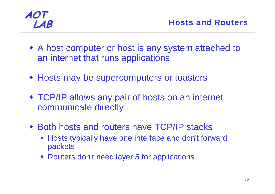

- A host computer or host is any system attached to an internet that runs applications
- Hosts may be supercomputers or toasters
- TCP/IP allows any pair of hosts on an internet communicate directly
- Both hosts and routers have TCP/IP stacks
	- $\overline{\mathbb{R}^2}$  Hosts typically have one interface and don't forward packets
	- **Routers don't need layer 5 for applications**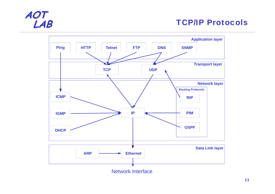#### **TCP/IP Protocols**

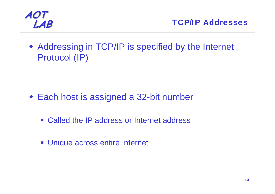

 Addressing in TCP/IP is specified by the Internet Protocol (IP)

- Each host is assigned a 32-bit number
	- Called the IP address or Internet address
	- **Unique across entire Internet**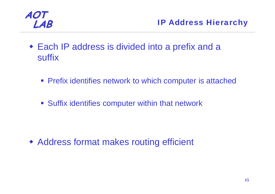

- Each IP address is divided into a prefix and a suffix
	- **Prefix identifies network to which computer is attached**
	- **Suffix identifies computer within that network**

Address format makes routing efficient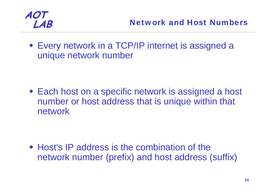

 Every network in a TCP/IP internet is assigned a unique network number

 Each host on a specific network is assigned a host number or host address that is unique within that network

• Host's IP address is the combination of the network number (prefix) and host address (suffix)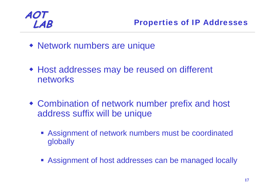

- Network numbers are unique
- Host addresses may be reused on different networks
- Combination of network number prefix and host address suffix will be unique
	- **Assignment of network numbers must be coordinated** globally
	- **Assignment of host addresses can be managed locally**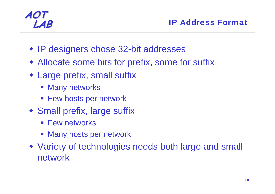- IP designers chose 32-bit addresses
- Allocate some bits for prefix, some for suffix
- Large prefix, small suffix
	- $\mathcal{L}_{\mathcal{A}}$ Many networks
	- Few hosts per network
- Small prefix, large suffix
	- **Few networks**
	- **Many hosts per network**
- Variety of technologies needs both large and small network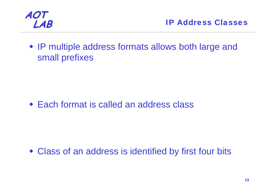

• IP multiple address formats allows both large and small prefixes

Each format is called an address class

Class of an address is identified by first four bits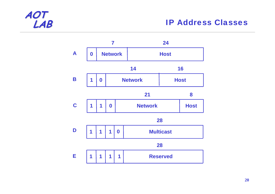#### **IP Address Classes**

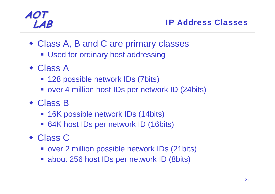#### **LAB** IP Address Classes

- Class A, B and C are primary classes
	- **Used for ordinary host addressing**
- Class A
	- **128 possible network IDs (7bits)**
	- over 4 million host IDs per network ID (24bits)
- Class B
	- **16K possible network IDs (14bits)**
	- 64K host IDs per network ID (16bits)
- Class C
	- over 2 million possible network IDs (21bits)
	- about 256 host IDs per network ID (8bits)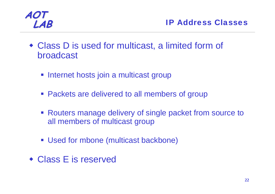

- Class D is used for multicast, a limited form of broadcast
	- **Internet hosts join a multicast group**
	- **Packets are delivered to all members of group**
	- **Routers manage delivery of single packet from source to** all members of multicast group
	- Used for mbone (multicast backbone)
- Class E is reserved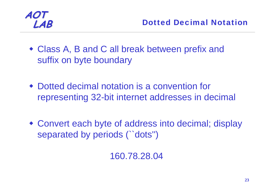

- Class A, B and C all break between prefix and suffix on byte boundary
- Dotted decimal notation is a convention for representing 32-bit internet addresses in decimal
- Convert each byte of address into decimal; display separated by periods (``dots'')

160.78.28.04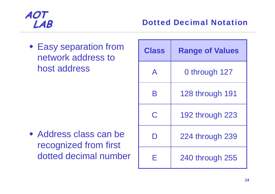Easy separation from network address to host address

 Address class can be recognized from first dotted decimal number

| <b>Class</b> | <b>Range of Values</b> |
|--------------|------------------------|
| $\mathsf{A}$ | 0 through 127          |
| R            | 128 through 191        |
| C.           | 192 through 223        |
|              | 224 through 239        |
| ┝            | 240 through 255        |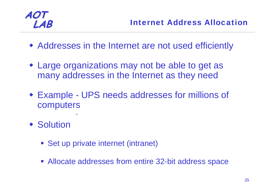- Addresses in the Internet are not used efficiently
- Large organizations may not be able to get as many addresses in the Internet as they need
- Example UPS needs addresses for millions of computers
- ◆ Solution
	- **Set up private internet (intranet)**
	- **Allocate addresses from entire 32-bit address space**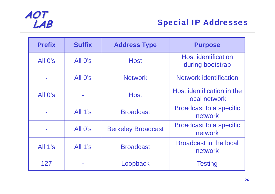

| <b>Prefix</b> | <b>Suffix</b> | <b>Address Type</b>       | <b>Purpose</b>                                 |
|---------------|---------------|---------------------------|------------------------------------------------|
| All O's       | All O's       | <b>Host</b>               | <b>Host identification</b><br>during bootstrap |
|               | All O's       | <b>Network</b>            | <b>Network identification</b>                  |
| All O's       |               | <b>Host</b>               | Host identification in the<br>local network    |
|               | All 1's       | <b>Broadcast</b>          | <b>Broadcast to a specific</b><br>network      |
|               | All O's       | <b>Berkeley Broadcast</b> | <b>Broadcast to a specific</b><br>network      |
| All $1's$     | All 1's       | <b>Broadcast</b>          | <b>Broadcast in the local</b><br>network       |
| 127           |               | Loopback                  | <b>Testing</b>                                 |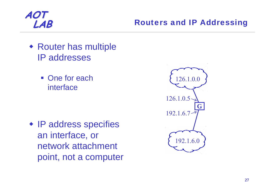

- Router has multiple IP addresses
	- One for each interface

• IP address specifies an interface, or network attachment point, not a computer

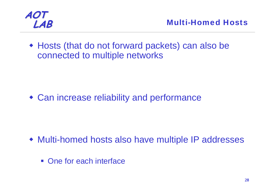

 Hosts (that do not forward packets) can also be connected to multiple networks

Can increase reliability and performance

- Multi-homed hosts also have multiple IP addresses
	- One for each interface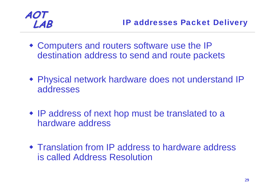- Computers and routers software use the IP destination address to send and route packets
- Physical network hardware does not understand IP addresses
- IP address of next hop must be translated to a hardware address
- Translation from IP address to hardware address is called Address Resolution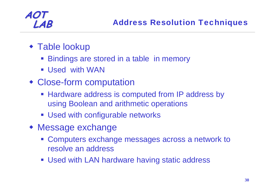- Table lookup
	- Bindings are stored in a table in memory
	- Used with WAN
- Close-form computation
	- Hardware address is computed from IP address by using Boolean and arithmetic operations
	- **Used with configurable networks**
- Message exchange
	- **Computers exchange messages across a network to** resolve an address
	- Used with LAN hardware having static address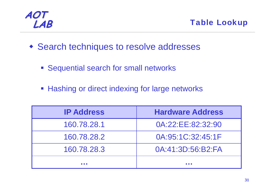

**LAB** Table Lookup

- Search techniques to resolve addresses
	- **Sequential search for small networks**
	- **Hashing or direct indexing for large networks**

| <b>IP Address</b> | <b>Hardware Address</b> |
|-------------------|-------------------------|
| 160.78.28.1       | 0A:22:EE:82:32:90       |
| 160.78.28.2       | 0A:95:1C:32:45:1F       |
| 160.78.28.3       | 0A:41:3D:56:B2:FA       |
|                   |                         |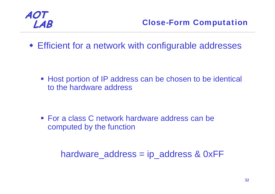

Efficient for a network with configurable addresses

■ Host portion of IP address can be chosen to be identical to the hardware address

■ For a class C network hardware address can be computed by the function

hardware\_address = ip\_address & 0xFF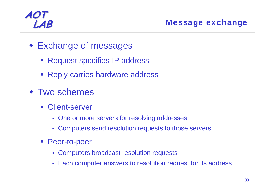#### **LAB** Message exchange

- Exchange of messages
	- **Request specifies IP address**
	- **Reply carries hardware address**
- **\* Two schemes** 
	- Client-server
		- One or more servers for resolving addresses
		- Computers send resolution requests to those servers
	- **Peer-to-peer** 
		- Computers broadcast resolution requests
		- Each computer answers to resolution request for its address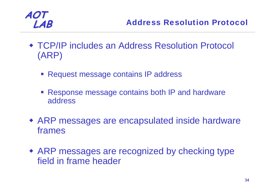- TCP/IP includes an Address Resolution Protocol (ARP)
	- Request message contains IP address
	- Response message contains both IP and hardware address
- ARP messages are encapsulated inside hardware frames
- ARP messages are recognized by checking type field in frame header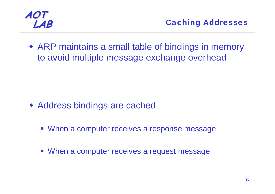

 ARP maintains a small table of bindings in memory to avoid multiple message exchange overhead

- Address bindings are cached
	- **When a computer receives a response message**
	- **When a computer receives a request message**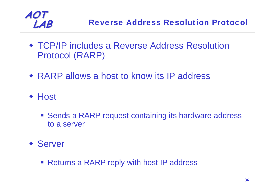

- TCP/IP includes a Reverse Address Resolution Protocol (RARP)
- RARP allows a host to know its IP address
- ◆ Host
	- **Sends a RARP request containing its hardware address** to a server
- Server
	- Returns a RARP reply with host IP address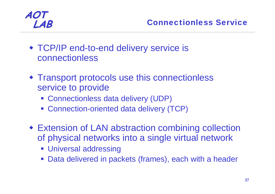- TCP/IP end-to-end delivery service is connectionless
- Transport protocols use this connectionless service to provide
	- Connectionless data delivery (UDP)
	- Connection-oriented data delivery (TCP)
- Extension of LAN abstraction combining collection of physical networks into a single virtual network
	- **Universal addressing**
	- Data delivered in packets (frames), each with a header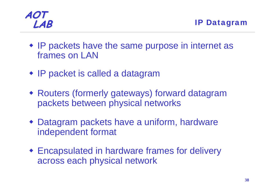

- IP packets have the same purpose in internet as frames on LAN
- IP packet is called a datagram
- Routers (formerly gateways) forward datagram packets between physical networks
- Datagram packets have a uniform, hardware independent format
- Encapsulated in hardware frames for delivery across each physical network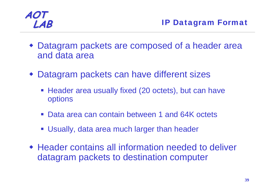

- Datagram packets are composed of a header area and data area
- Datagram packets can have different sizes
	- **Header area usually fixed (20 octets), but can have** options
	- Data area can contain between 1 and 64K octets
	- Usually, data area much larger than header
- Header contains all information needed to deliver datagram packets to destination computer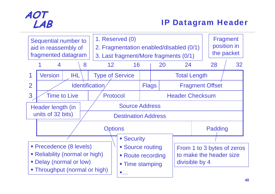

#### **LAB** IP Datagram Header

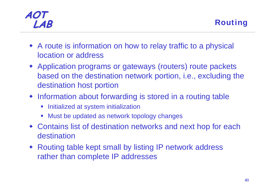- A route is information on how to relay traffic to a physical location or address
- Application programs or gateways (routers) route packets based on the destination network portion, i.e., excluding the destination host portion
- Information about forwarding is stored in a routing table
	- $\overline{\mathcal{L}}$ Initialized at system initialization
	- Must be updated as network topology changes
- Contains list of destination networks and next hop for each destination
- Routing table kept small by listing IP network address rather than complete IP addresses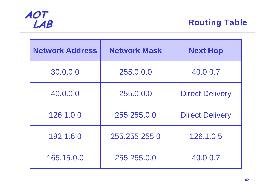

**Routing Table** 

| <b>Network Address</b> | <b>Network Mask</b> | <b>Next Hop</b>        |
|------------------------|---------------------|------------------------|
| 30.0.0.0               | 255.0.0.0           | 40.0.0.7               |
| 40.0.0.0               | 255.0.0.0           | <b>Direct Delivery</b> |
| 126.1.0.0              | 255,255,0,0         | <b>Direct Delivery</b> |
| 192.1.6.0              | 255.255.255.0       | 126.1.0.5              |
| 165.15.0.0             | 255.255.0.0         | 40.0.0.7               |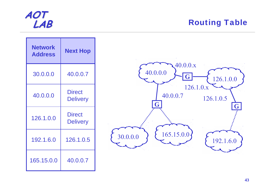

#### **Routing Table**

| <b>Network</b><br><b>Address</b> | <b>Next Hop</b>                  |
|----------------------------------|----------------------------------|
| 30.0.0.0                         | 40.0.0.7                         |
| 40.0.0.0                         | <b>Direct</b><br><b>Delivery</b> |
| 126.1.0.0                        | <b>Direct</b><br><b>Delivery</b> |
| 192.1.6.0                        | 126.1.0.5                        |
| 165.15.0.0                       | 40.0.0.7                         |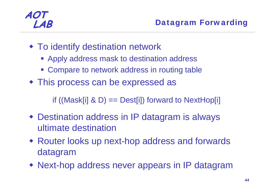- To identify destination network
	- Apply address mask to destination address
	- **Compare to network address in routing table**
- This process can be expressed as

if ((Mask[i]  $\& D$ ) == Dest[i]) forward to NextHop[i]

- Destination address in IP datagram is always ultimate destination
- Router looks up next-hop address and forwards datagram
- Next-hop address never appears in IP datagram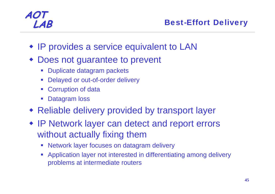#### **LAB** Best-Effort Delivery

- IP provides a service equivalent to LAN
- Does not guarantee to prevent
	- **Service Service** Duplicate datagram packets
	- $\mathcal{L}^{\text{max}}_{\text{max}}$ Delayed or out-of-order delivery
	- **Corruption of data**
	- $\mathcal{L}_{\mathcal{A}}$ Datagram loss
- Reliable delivery provided by transport layer
- IP Network layer can detect and report errors without actually fixing them
	- $\mathcal{L}_{\mathcal{A}}$ Network layer focuses on datagram delivery
	- Application layer not interested in differentiating among delivery problems at intermediate routers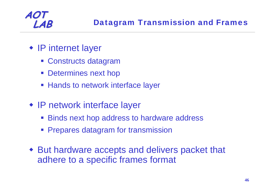

- IP internet layer
	- Constructs datagram
	- **Determines next hop**
	- **Hands to network interface layer**
- IP network interface layer
	- **Binds next hop address to hardware address**
	- **Prepares datagram for transmission**
- But hardware accepts and delivers packet that adhere to a specific frames format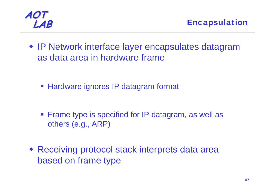

 IP Network interface layer encapsulates datagram as data area in hardware frame

**Hardware ignores IP datagram format** 

- **Firame type is specified for IP datagram, as well as** others (e.g., ARP)
- Receiving protocol stack interprets data area based on frame type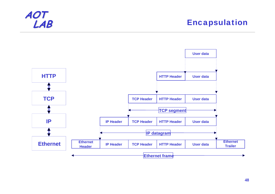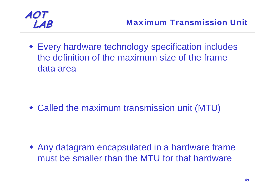

 Every hardware technology specification includes the definition of the maximum size of the frame data area

Called the maximum transmission unit (MTU)

 Any datagram encapsulated in a hardware frame must be smaller than the MTU for that hardware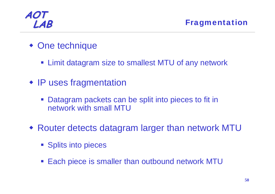

- One technique
	- **Example 2 Fig. 2** Limit datagram size to smallest MTU of any network
- IP uses fragmentation
	- Datagram packets can be split into pieces to fit in network with small MTU
- Router detects datagram larger than network MTU
	- **Splits into pieces**
	- $\mathcal{L}^{\text{max}}_{\text{max}}$ Each piece is smaller than outbound network MTU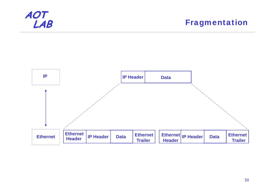

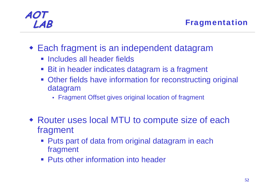- Each fragment is an independent datagram
	- **Includes all header fields**
	- **Bit in header indicates datagram is a fragment**
	- **Other fields have information for reconstructing original** datagram
		- Fragment Offset gives original location of fragment
- Router uses local MTU to compute size of each fragment
	- Puts part of data from original datagram in each fragment
	- **Puts other information into header**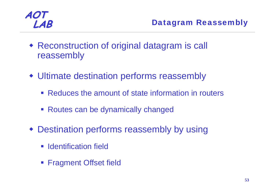

- Reconstruction of original datagram is call reassembly
- Ultimate destination performs reassembly
	- **Reduces the amount of state information in routers**
	- **Routes can be dynamically changed**
- Destination performs reassembly by using
	- **I** Identification field
	- **Fragment Offset field**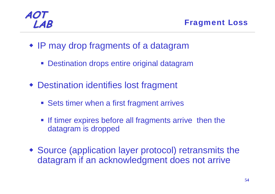**LAB** Fragment Loss

- IP may drop fragments of a datagram
	- **Destination drops entire original datagram**
- Destination identifies lost fragment
	- **Sets timer when a first fragment arrives**
	- **If timer expires before all fragments arrive then the** datagram is dropped
- Source (application layer protocol) retransmits the datagram if an acknowledgment does not arrive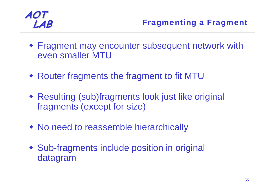- Fragment may encounter subsequent network with even smaller MTU
- Router fragments the fragment to fit MTU
- Resulting (sub)fragments look just like original fragments (except for size)
- No need to reassemble hierarchically
- Sub-fragments include position in original datagram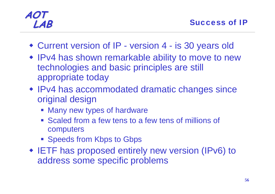- Current version of IP version 4 is 30 years old
- IPv4 has shown remarkable ability to move to new technologies and basic principles are still appropriate today
- IPv4 has accommodated dramatic changes since original design
	- **Nany new types of hardware**
	- **Scaled from a few tens to a few tens of millions of** computers
	- **Speeds from Kbps to Gbps**
- IETF has proposed entirely new version (IPv6) to address some specific problems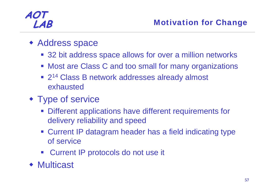#### **LAB** Motivation for Change

- Address space
	- 32 bit address space allows for over a million networks
	- **Most are Class C and too small for many organizations**
	- 2<sup>14</sup> Class B network addresses already almost exhausted
- Type of service
	- **Different applications have different requirements for** delivery reliability and speed
	- Current IP datagram header has a field indicating type of service
	- **EXECUTE:** Current IP protocols do not use it
- ◆ Multicast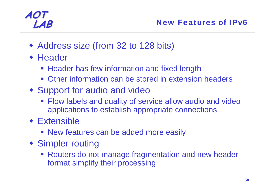- Address size (from 32 to 128 bits)
- **+ Header** 
	- **Header has few information and fixed length**
	- **Other information can be stored in extension headers**
- Support for audio and video
	- **Flow labels and quality of service allow audio and video** applications to establish appropriate connections
- Extensible
	- **New features can be added more easily**
- Simpler routing
	- **Routers do not manage fragmentation and new header** format simplify their processing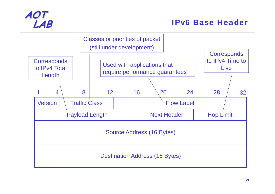

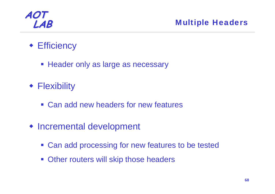

- Efficiency
	- **Header only as large as necessary**
- Flexibility
	- **Can add new headers for new features**
- Incremental development
	- **Can add processing for new features to be tested**
	- **Other routers will skip those headers**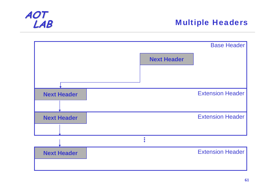

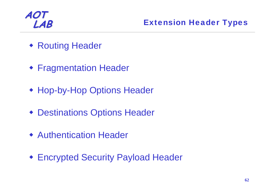

- Routing Header
- Fragmentation Header
- Hop-by-Hop Options Header
- Destinations Options Header
- Authentication Header
- Encrypted Security Payload Header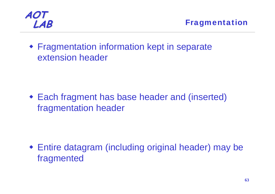

 Fragmentation information kept in separate extension header

 Each fragment has base header and (inserted) fragmentation header

 Entire datagram (including original header) may be fragmented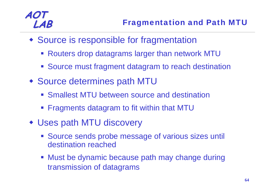- Source is responsible for fragmentation
	- Routers drop datagrams larger than network MTU
	- **Source must fragment datagram to reach destination**
- Source determines path MTU
	- **Smallest MTU between source and destination**
	- **Fiagments datagram to fit within that MTU**
- Uses path MTU discovery
	- **Source sends probe message of various sizes until** destination reached
	- **Must be dynamic because path may change during** transmission of datagrams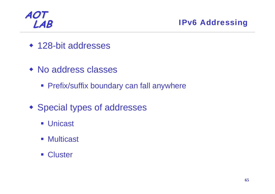

**LAB** IPv6 Addressing

- ◆ 128-bit addresses
- No address classes
	- **Prefix/suffix boundary can fall anywhere**
- **\* Special types of addresses** 
	- Unicast
	- Multicast
	- **Cluster**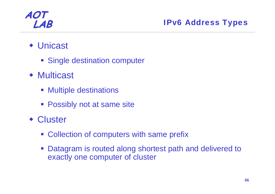#### Unicast

- **Single destination computer**
- Multicast
	- **Multiple destinations**
	- **Possibly not at same site**
- Cluster
	- **Collection of computers with same prefix**
	- **Datagram is routed along shortest path and delivered to** exactly one computer of cluster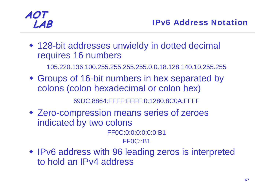128-bit addresses unwieldy in dotted decimal requires 16 numbers

105.220.136.100.255.255.255.255.0.0.18.128.140.10.255.255

 Groups of 16-bit numbers in hex separated by colons (colon hexadecimal or colon hex)

69DC:8864:FFFF:FFFF:0:1280:8C0A:FFFF

 Zero-compression means series of zeroes indicated by two colons

FF0C:0:0:0:0:0:0:B1

FF0C::B1

• IPv6 address with 96 leading zeros is interpreted to hold an IPv4 address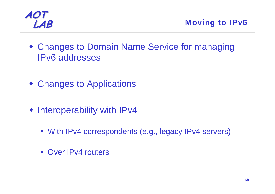

- Changes to Domain Name Service for managing IPv6 addresses
- Changes to Applications
- Interoperability with IPv4
	- With IPv4 correspondents (e.g., legacy IPv4 servers)
	- **Over IPv4 routers**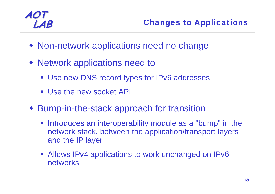- Non-network applications need no change
- Network applications need to
	- **Use new DNS record types for IPv6 addresses**
	- Use the new socket API
- Bump-in-the-stack approach for transition
	- **Introduces an interoperability module as a "bump" in the** network stack, between the application/transport layers and the IP layer
	- Allows IPv4 applications to work unchanged on IPv6 networks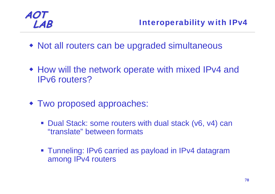

- Not all routers can be upgraded simultaneous
- How will the network operate with mixed IPv4 and IPv6 routers?
- Two proposed approaches:
	- $\mathcal{L}^{\text{max}}_{\text{max}}$  Dual Stack: some routers with dual stack (v6, v4) can "translate" between formats
	- Tunneling: IPv6 carried as payload in IPv4 datagram among IPv4 routers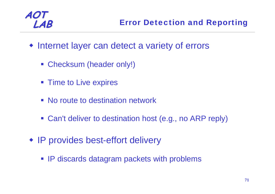- Internet layer can detect a variety of errors
	- Checksum (header only!)
	- **Time to Live expires**
	- **No route to destination network**
	- **Can't deliver to destination host (e.g., no ARP reply)**
- IP provides best-effort delivery
	- **IP discards datagram packets with problems**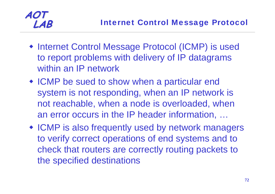

- Internet Control Message Protocol (ICMP) is used to report problems with delivery of IP datagrams within an IP network
- ICMP be sued to show when a particular end system is not responding, when an IP network is not reachable, when a node is overloaded, when an error occurs in the IP header information, …
- ICMP is also frequently used by network managers to verify correct operations of end systems and to check that routers are correctly routing packets to the specified destinations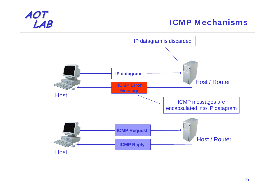#### **ICMP Mechanisms**

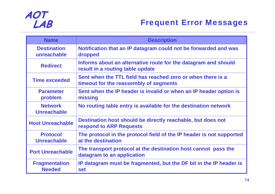

| <b>Name</b>                           | <b>Description</b>                                                                                    |
|---------------------------------------|-------------------------------------------------------------------------------------------------------|
| <b>Destination</b><br>unreachable     | Notification that an IP datagram could not be forwarded and was<br>dropped                            |
| <b>Redirect</b>                       | Informs about an alternative route for the datagram and should<br>result in a routing table update    |
| <b>Time exceeded</b>                  | Sent when the TTL field has reached zero or when there is a<br>timeout for the reassembly of segments |
| <b>Parameter</b><br>problem           | Sent when the IP header is invalid or when an IP header option is<br>missing                          |
| <b>Network</b><br><b>Unreachable</b>  | No routing table entry is available for the destination network                                       |
| <b>Host Unreachable</b>               | Destination host should be directly reachable, but does not<br><b>respond to ARP Requests</b>         |
| <b>Protocol</b><br><b>Unreachable</b> | The protocol in the protocol field of the IP header is not supported<br>at the destination            |
| <b>Port Unreachable</b>               | The transport protocol at the destination host cannot pass the<br>datagram to an application          |
| <b>Fragmentation</b><br><b>Needed</b> | IP datagram must be fragmented, but the DF bit in the IP header is<br><b>set</b>                      |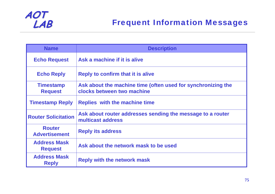

| <b>Name</b>                           | <b>Description</b>                                                                         |  |  |  |  |
|---------------------------------------|--------------------------------------------------------------------------------------------|--|--|--|--|
| <b>Echo Request</b>                   | Ask a machine if it is alive                                                               |  |  |  |  |
| <b>Echo Reply</b>                     | <b>Reply to confirm that it is alive</b>                                                   |  |  |  |  |
| <b>Timestamp</b><br><b>Request</b>    | Ask about the machine time (often used for synchronizing the<br>clocks between two machine |  |  |  |  |
| <b>Timestamp Reply</b>                | <b>Replies with the machine time</b>                                                       |  |  |  |  |
| <b>Router Solicitation</b>            | Ask about router addresses sending the message to a router<br>multicast address            |  |  |  |  |
| <b>Router</b><br><b>Advertisement</b> | <b>Reply its address</b>                                                                   |  |  |  |  |
| <b>Address Mask</b><br><b>Request</b> | Ask about the network mask to be used                                                      |  |  |  |  |
| <b>Address Mask</b><br><b>Reply</b>   | <b>Reply with the network mask</b>                                                         |  |  |  |  |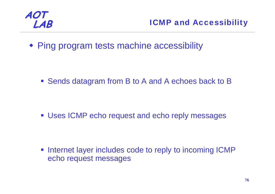

**LAB** ICMP and Accessibility

Ping program tests machine accessibility

**Sends datagram from B to A and A echoes back to B** 

**Uses ICMP echo request and echo reply messages** 

 $\Box$  Internet layer includes code to reply to incoming ICMP echo request messages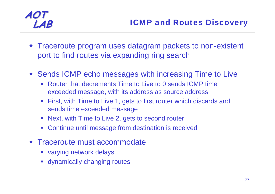- Traceroute program uses datagram packets to non-existent port to find routes via expanding ring search
- Sends ICMP echo messages with increasing Time to Live
	- Router that decrements Time to Live to 0 sends ICMP time exceeded message, with its address as source address
	- First, with Time to Live 1, gets to first router which discards and sends time exceeded message
	- $\mathcal{L}_{\mathcal{A}}$ Next, with Time to Live 2, gets to second router
	- Continue until message from destination is received
- Traceroute must accommodate
	- varying network delays
	- **Exagge 1 and Theoreum** dynamically changing routes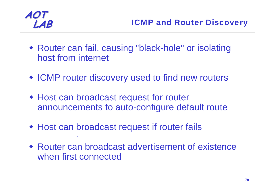

- Router can fail, causing "black-hole" or isolating host from internet
- ICMP router discovery used to find new routers
- Host can broadcast request for router announcements to auto-configure default route
- Host can broadcast request if router fails  $\circ$
- Router can broadcast advertisement of existence when first connected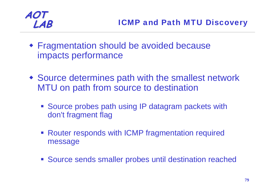

- Fragmentation should be avoided because impacts performance
- Source determines path with the smallest network MTU on path from source to destination
	- **Source probes path using IP datagram packets with** don't fragment flag
	- **Router responds with ICMP fragmentation required** message
	- Source sends smaller probes until destination reached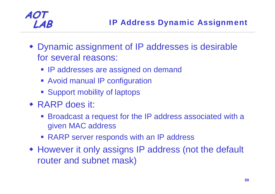- Dynamic assignment of IP addresses is desirable for several reasons:
	- **IP addresses are assigned on demand**
	- **Avoid manual IP configuration**
	- **Support mobility of laptops**
- RARP does it:
	- **Broadcast a request for the IP address associated with a** given MAC address
	- RARP server responds with an IP address
- However it only assigns IP address (not the default router and subnet mask)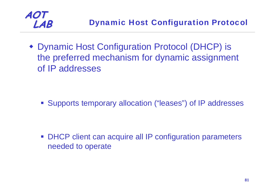

 Dynamic Host Configuration Protocol (DHCP) is the preferred mechanism for dynamic assignment of IP addresses

Supports temporary allocation ("leases") of IP addresses

**DHCP client can acquire all IP configuration parameters** needed to operate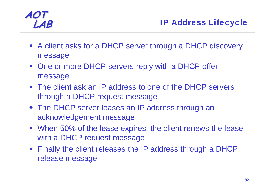- A client asks for a DHCP server through a DHCP discovery message
- One or more DHCP servers reply with a DHCP offer message
- The client ask an IP address to one of the DHCP servers through a DHCP request message
- The DHCP server leases an IP address through an acknowledgement message
- When 50% of the lease expires, the client renews the lease with a DHCP request message
- Finally the client releases the IP address through a DHCP release message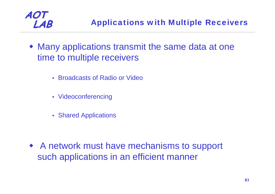

- Many applications transmit the same data at one time to multiple receivers
	- Broadcasts of Radio or Video
	- Videoconferencing
	- Shared Applications

 A network must have mechanisms to support such applications in an efficient manner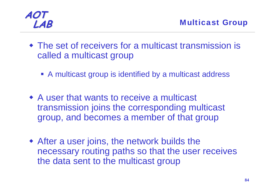

- The set of receivers for a multicast transmission is called a multicast group
	- A multicast group is identified by a multicast address
- A user that wants to receive a multicast transmission joins the corresponding multicast group, and becomes a member of that group
- After a user joins, the network builds the necessary routing paths so that the user receives the data sent to the multicast group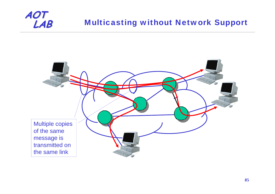### **Multicasting without Network Support**

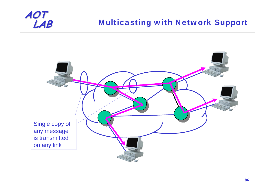#### **Multicasting with Network Support**

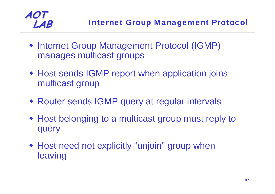

- **Internet Group Management Protocol (IGMP)** manages multicast groups
- Host sends IGMP report when application joins multicast group
- Router sends IGMP query at regular intervals
- Host belonging to a multicast group must reply to query
- Host need not explicitly "unjoin" group when leaving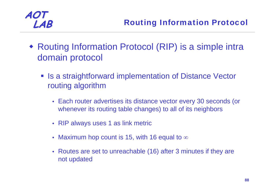- Routing Information Protocol (RIP) is a simple intra domain protocol
	- **Is a straightforward implementation of Distance Vector** routing algorithm
		- Each router advertises its distance vector every 30 seconds (or whenever its routing table changes) to all of its neighbors
		- RIP always uses 1 as link metric
		- Maximum hop count is 15, with 16 equal to  $\infty$
		- Routes are set to unreachable (16) after 3 minutes if they are not updated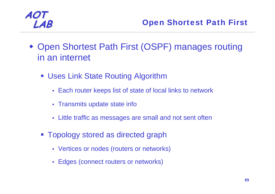

- Open Shortest Path First (OSPF) manages routing in an internet
	- Uses Link State Routing Algorithm
		- Each router keeps list of state of local links to network
		- Transmits update state info
		- Little traffic as messages are small and not sent often
	- Topology stored as directed graph
		- Vertices or nodes (routers or networks)
		- Edges (connect routers or networks)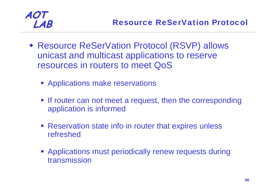- Resource ReSerVation Protocol (RSVP) allows unicast and multicast applications to reserve resources in routers to meet QoS
	- **EXPLO Applications make reservations**
	- **If router can not meet a request, then the corresponding** application is informed
	- **Reservation state info in router that expires unless** refreshed
	- **Applications must periodically renew requests during** transmission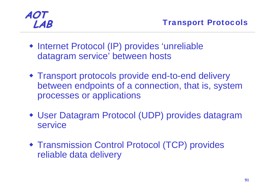- Internet Protocol (IP) provides 'unreliable datagram service' between hosts
- Transport protocols provide end-to-end delivery between endpoints of a connection, that is, system processes or applications
- User Datagram Protocol (UDP) provides datagram service
- Transmission Control Protocol (TCP) provides reliable data delivery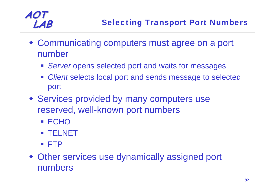- Communicating computers must agree on a port number
	- *Server* opens selected port and waits for messages
	- *Client* selects local port and sends message to selected port
- Services provided by many computers use reserved, well-known port numbers
	- $\blacksquare$  ECHO
	- TELNET
	- FTP
- Other services use dynamically assigned port numbers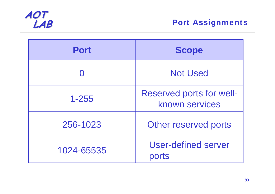

| <b>Port</b> | <b>Scope</b>                                      |  |  |
|-------------|---------------------------------------------------|--|--|
|             | <b>Not Used</b>                                   |  |  |
| $1 - 255$   | <b>Reserved ports for well-</b><br>known services |  |  |
| 256-1023    | Other reserved ports                              |  |  |
| 1024-65535  | User-defined server<br>ports                      |  |  |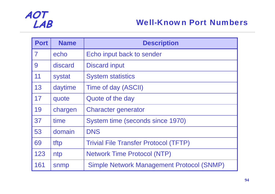

| <b>Port</b>    | <b>Name</b> | <b>Description</b>                               |
|----------------|-------------|--------------------------------------------------|
| $\overline{7}$ | echo        | Echo input back to sender                        |
| 9              | discard     | <b>Discard input</b>                             |
| 11             | systat      | <b>System statistics</b>                         |
| 13             | daytime     | Time of day (ASCII)                              |
| 17             | quote       | Quote of the day                                 |
| 19             | chargen     | <b>Character generator</b>                       |
| 37             | time        | System time (seconds since 1970)                 |
| 53             | domain      | <b>DNS</b>                                       |
| 69             | tftp        | <b>Trivial File Transfer Protocol (TFTP)</b>     |
| 123            | ntp         | <b>Network Time Protocol (NTP)</b>               |
| 161            | snmp        | <b>Simple Network Management Protocol (SNMP)</b> |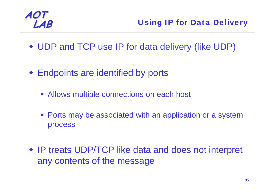

- UDP and TCP use IP for data delivery (like UDP)
- Endpoints are identified by ports
	- Allows multiple connections on each host
	- **Ports may be associated with an application or a system** process
- IP treats UDP/TCP like data and does not interpret any contents of the message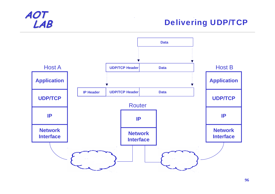

#### **Delivering UDP/TCP**

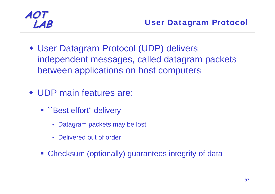

- User Datagram Protocol (UDP) delivers independent messages, called datagram packets between applications on host computers
- UDP main features are:
	- **``Best effort" delivery** 
		- Datagram packets may be lost
		- Delivered out of order
	- **Checksum (optionally) guarantees integrity of data**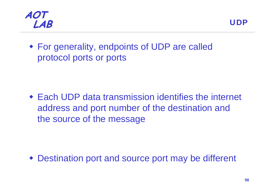



 For generality, endpoints of UDP are called protocol ports or ports

 Each UDP data transmission identifies the internet address and port number of the destination and the source of the message

♦ Destination port and source port may be different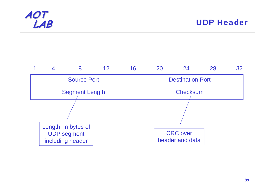

|                       |                                                               |  | 12 <sup>°</sup> | 16                      | 20 | 24                                 | 28 | 32 |
|-----------------------|---------------------------------------------------------------|--|-----------------|-------------------------|----|------------------------------------|----|----|
| <b>Source Port</b>    |                                                               |  |                 | <b>Destination Port</b> |    |                                    |    |    |
| <b>Segment Length</b> |                                                               |  |                 | <b>Checksum</b>         |    |                                    |    |    |
|                       |                                                               |  |                 |                         |    |                                    |    |    |
|                       | Length, in bytes of<br><b>UDP</b> segment<br>including header |  |                 |                         |    | <b>CRC</b> over<br>header and data |    |    |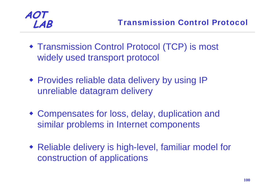

- Transmission Control Protocol (TCP) is most widely used transport protocol
- Provides reliable data delivery by using IP unreliable datagram delivery
- Compensates for loss, delay, duplication and similar problems in Internet components
- Reliable delivery is high-level, familiar model for construction of applications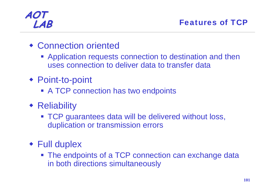- Connection oriented
	- **Application requests connection to destination and then** uses connection to deliver data to transfer data
- Point-to-point
	- **A TCP connection has two endpoints**
- **\*** Reliability
	- **TCP guarantees data will be delivered without loss,** duplication or transmission errors
- Full duplex
	- **The endpoints of a TCP connection can exchange data** in both directions simultaneously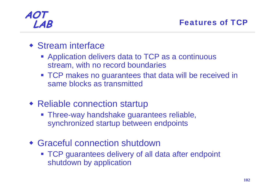- Stream interface
	- **Application delivers data to TCP as a continuous** stream, with no record boundaries
	- **TCP makes no guarantees that data will be received in** same blocks as transmitted
- Reliable connection startup
	- **Three-way handshake guarantees reliable,** synchronized startup between endpoints
- Graceful connection shutdown
	- **TCP guarantees delivery of all data after endpoint** shutdown by application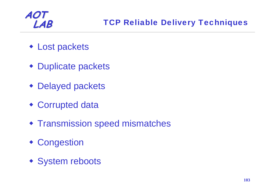- Lost packets
- Duplicate packets
- Delayed packets
- Corrupted data
- **Transmission speed mismatches**
- Congestion
- System reboots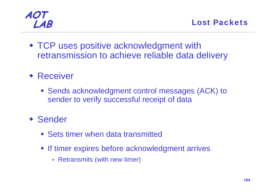TCP uses positive acknowledgment with retransmission to achieve reliable data delivery

### ◆ Receiver

 Sends acknowledgment control messages (ACK) to sender to verify successful receipt of data

### Sender

- **Sets timer when data transmitted**
- **If timer expires before acknowledgment arrives** 
	- Retransmits (with new timer)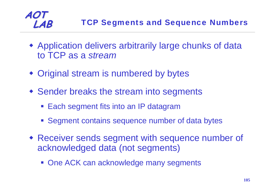### **LAB** TCP Segments and Sequence Numbers

- Application delivers arbitrarily large chunks of data to TCP as a *stream*
- Original stream is numbered by bytes

- Sender breaks the stream into segments
	- **Each segment fits into an IP datagram**
	- **Segment contains sequence number of data bytes**
- Receiver sends segment with sequence number of acknowledged data (not segments)
	- **One ACK can acknowledge many segments**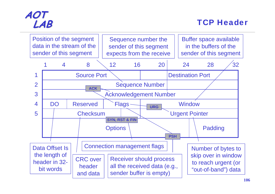

#### **LAB** TCP Header

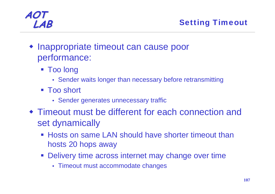

- Inappropriate timeout can cause poor performance:
	- Too long
		- Sender waits longer than necessary before retransmitting
	- Too short
		- Sender generates unnecessary traffic
- Timeout must be different for each connection and set dynamically
	- Hosts on same LAN should have shorter timeout than hosts 20 hops away
	- **Delivery time across internet may change over time** 
		- Timeout must accommodate changes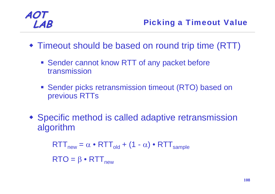- Timeout should be based on round trip time (RTT)
	- **Sender cannot know RTT of any packet before** transmission
	- **Sender picks retransmission timeout (RTO) based on** previous RTTs
- Specific method is called adaptive retransmission algorithm

$$
RTTnew = \alpha \cdot RTTold + (1 - \alpha) \cdot RTTsample
$$
  
 
$$
RTO = \beta \cdot RTTnew
$$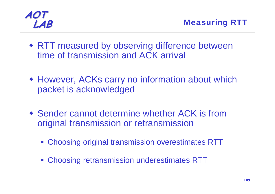

- RTT measured by observing difference between time of transmission and ACK arrival
- However, ACKs carry no information about which packet is acknowledged
- Sender cannot determine whether ACK is from original transmission or retransmission
	- Choosing original transmission overestimates RTT
	- **Choosing retransmission underestimates RTT**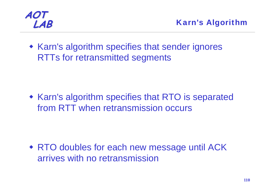

• Karn's algorithm specifies that sender ignores RTTs for retransmitted segments

**• Karn's algorithm specifies that RTO is separated** from RTT when retransmission occurs

 RTO doubles for each new message until ACK arrives with no retransmission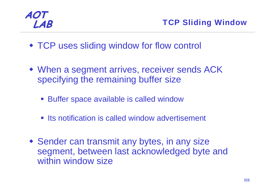- TCP uses sliding window for flow control
- When a segment arrives, receiver sends ACK specifying the remaining buffer size
	- **Buffer space available is called window**
	- **Its notification is called window advertisement**
- Sender can transmit any bytes, in any size segment, between last acknowledged byte and within window size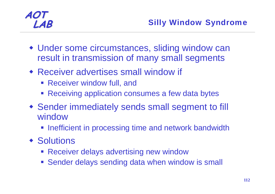- Under some circumstances, sliding window can result in transmission of many small segments
- Receiver advertises small window if
	- **Receiver window full, and**
	- Receiving application consumes a few data bytes
- Sender immediately sends small segment to fill window
	- **Inefficient in processing time and network bandwidth**
- ◆ Solutions
	- **Receiver delays advertising new window**
	- **Sender delays sending data when window is small**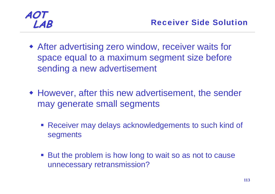- After advertising zero window, receiver waits for space equal to a maximum segment size before sending a new advertisement
- However, after this new advertisement, the sender may generate small segments
	- Receiver may delays acknowledgements to such kind of segments
	- But the problem is how long to wait so as not to cause unnecessary retransmission?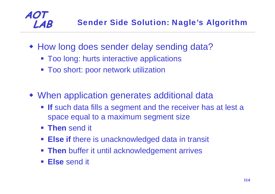

- **How long does sender delay sending data?** 
	- **Too long: hurts interactive applications**
	- Too short: poor network utilization
- When application generates additional data
	- **If** such data fills a segment and the receiver has at lest a space equal to a maximum segment size
	- **Then** send it

- **Else if there is unacknowledged data in transit**
- **Then** buffer it until acknowledgement arrives
- **Else** send it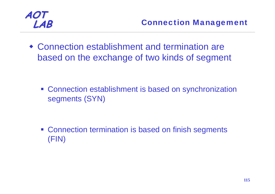

 Connection establishment and termination are based on the exchange of two kinds of segment

**Connection establishment is based on synchronization** segments (SYN)

**Connection termination is based on finish segments** (FIN)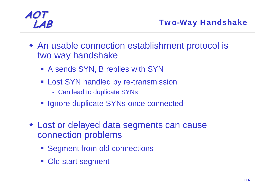- An usable connection establishment protocol is two way handshake
	- A sends SYN, B replies with SYN
	- **Exampled by re-transmission** 
		- Can lead to duplicate SYNs
	- **Ignore duplicate SYNs once connected**
- Lost or delayed data segments can cause connection problems
	- **Segment from old connections**
	- **Old start segment**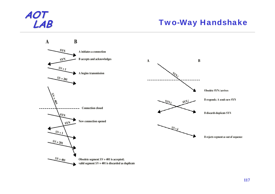#### **Two-Way Handshake**

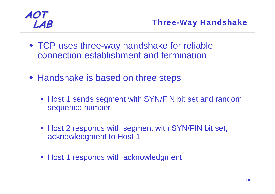- TCP uses three-way handshake for reliable connection establishment and termination
- Handshake is based on three steps
	- **Host 1 sends segment with SYN/FIN bit set and random** sequence number
	- **Host 2 responds with segment with SYN/FIN bit set,** acknowledgment to Host 1
	- **Host 1 responds with acknowledgment**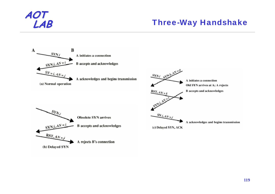#### **Three-Way Handshake**